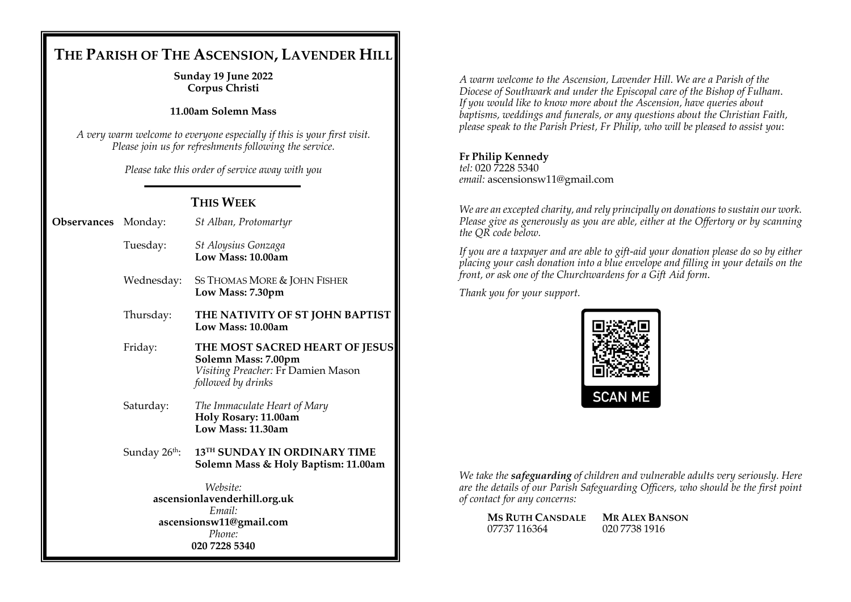# **THE PARISH OF THE ASCENSION, LAVENDER HILL**

#### **Sunday 19 June 2022 Corpus Christi**

## **11.00am Solemn Mass**

*A very warm welcome to everyone especially if this is your first visit. Please join us for refreshments following the service.*

*Please take this order of service away with you*

## **THIS WEEK**

| Observances Monday: |  | St Alban, Protomartyr |
|---------------------|--|-----------------------|
|---------------------|--|-----------------------|

- Tuesday: *St Aloysius Gonzaga* **Low Mass: 10.00am**
- Wednesday: SS THOMAS MORE & JOHN FISHER **Low Mass: 7.30pm**
- Thursday: **THE NATIVITY OF ST JOHN BAPTIST Low Mass: 10.00am**
- Friday: **THE MOST SACRED HEART OF JESUS Solemn Mass: 7.00pm** *Visiting Preacher:* Fr Damien Mason *followed by drinks*
- Saturday: *The Immaculate Heart of Mary* **Holy Rosary: 11.00am Low Mass: 11.30am**
- Sunday 26<sup>th</sup>: **13TH SUNDAY IN ORDINARY TIME Solemn Mass & Holy Baptism: 11.00am**

*Website:* **ascensionlavenderhill.org.uk** *Email:* **ascensionsw11@gmail.com** *Phone:* **020 7228 5340**

*A warm welcome to the Ascension, Lavender Hill. We are a Parish of the Diocese of Southwark and under the Episcopal care of the Bishop of Fulham*. *If you would like to know more about the Ascension, have queries about baptisms, weddings and funerals, or any questions about the Christian Faith, please speak to the Parish Priest, Fr Philip, who will be pleased to assist you*:

## **Fr Philip Kennedy**

*tel:* 020 7228 5340 *email:* ascensionsw11@gmail.com

*We are an excepted charity, and rely principally on donations to sustain our work. Please give as generously as you are able, either at the Offertory or by scanning the QR code below.*

*If you are a taxpayer and are able to gift-aid your donation please do so by either placing your cash donation into a blue envelope and filling in your details on the front, or ask one of the Churchwardens for a Gift Aid form*.

*Thank you for your support.*



*We take the safeguarding of children and vulnerable adults very seriously. Here are the details of our Parish Safeguarding Officers, who should be the first point of contact for any concerns:*

| <b>MS RUTH CANSDALE</b> | <b>MR ALEX BANSON</b> |
|-------------------------|-----------------------|
| 07737 116364            | 020 7738 1916         |